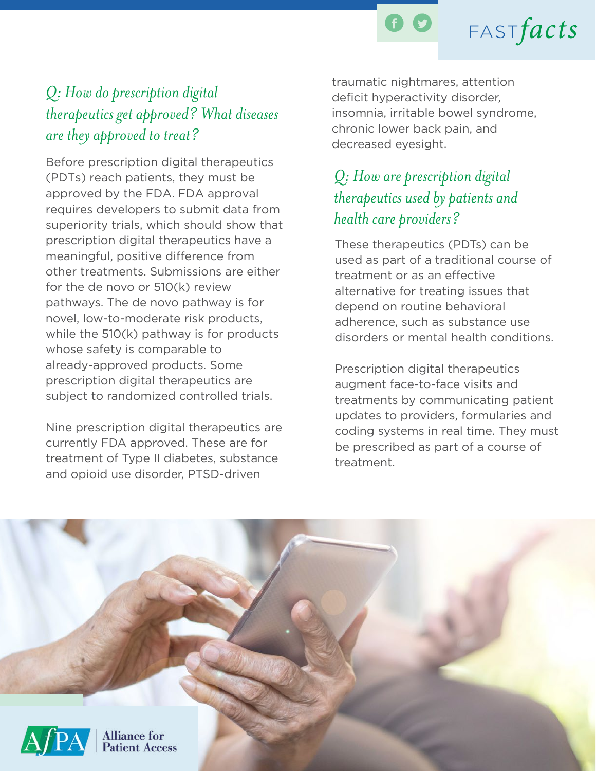

# $FASTfacts$

### *Q: How do prescription digital therapeutics get approved? What diseases are they approved to treat?*

Before prescription digital therapeutics (PDTs) reach patients, they must be approved by the FDA. FDA approval requires developers to submit data from superiority trials, which should show that prescription digital therapeutics have a meaningful, positive difference from other treatments. Submissions are either for the de novo or 510(k) review pathways. The de novo pathway is for novel, low-to-moderate risk products, while the 510(k) pathway is for products whose safety is comparable to already-approved products. Some prescription digital therapeutics are subject to randomized controlled trials.

Nine prescription digital therapeutics are currently FDA approved. These are for treatment of Type II diabetes, substance and opioid use disorder, PTSD-driven

traumatic nightmares, attention deficit hyperactivity disorder, insomnia, irritable bowel syndrome, chronic lower back pain, and decreased eyesight.

### *Q: How are prescription digital therapeutics used by patients and health care providers?*

These therapeutics (PDTs) can be used as part of a traditional course of treatment or as an effective alternative for treating issues that depend on routine behavioral adherence, such as substance use disorders or mental health conditions.

Prescription digital therapeutics augment face-to-face visits and treatments by communicating patient updates to providers, formularies and coding systems in real time. They must be prescribed as part of a course of treatment.

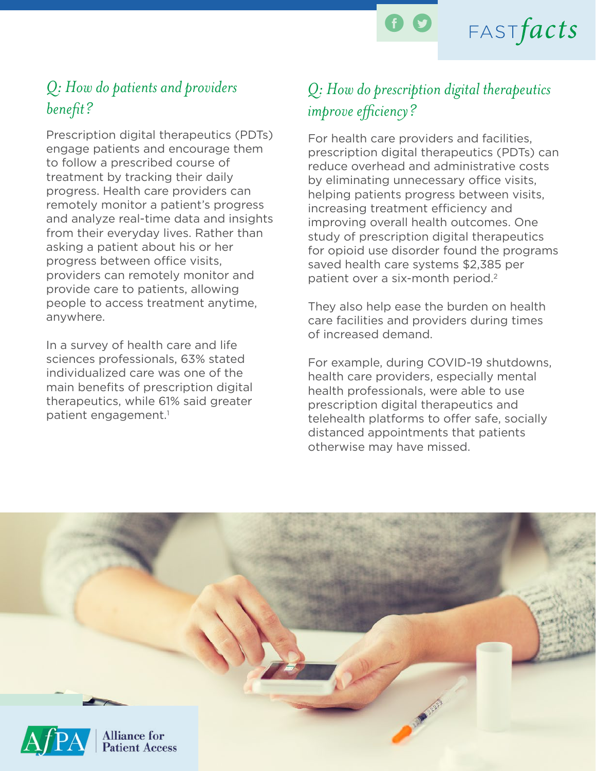

#### *Q: How do patients and providers benefit?*

Prescription digital therapeutics (PDTs) engage patients and encourage them to follow a prescribed course of treatment by tracking their daily progress. Health care providers can remotely monitor a patient's progress and analyze real-time data and insights from their everyday lives. Rather than asking a patient about his or her progress between office visits, providers can remotely monitor and provide care to patients, allowing people to access treatment anytime, anywhere.

In a survey of health care and life sciences professionals, 63% stated individualized care was one of the main benefits of prescription digital therapeutics, while 61% said greater patient engagement.<sup>1</sup>

### *Q: How do prescription digital therapeutics improve efficiency?*

 $FASTfacts$ 

For health care providers and facilities, prescription digital therapeutics (PDTs) can reduce overhead and administrative costs by eliminating unnecessary office visits, helping patients progress between visits, increasing treatment efficiency and improving overall health outcomes. One study of prescription digital therapeutics for opioid use disorder found the programs saved health care systems \$2,385 per patient over a six-month period.2

They also help ease the burden on health care facilities and providers during times of increased demand.

For example, during COVID-19 shutdowns, health care providers, especially mental health professionals, were able to use prescription digital therapeutics and telehealth platforms to offer safe, socially distanced appointments that patients otherwise may have missed.

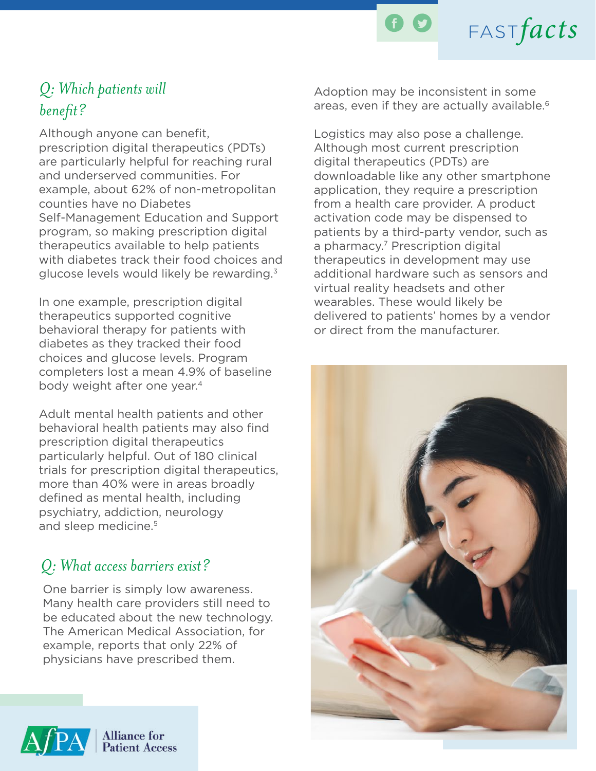

### *Q: Which patients will benefit?*

Although anyone can benefit, prescription digital therapeutics (PDTs) are particularly helpful for reaching rural and underserved communities. For example, about 62% of non-metropolitan counties have no Diabetes Self-Management Education and Support program, so making prescription digital therapeutics available to help patients with diabetes track their food choices and glucose levels would likely be rewarding.3

In one example, prescription digital therapeutics supported cognitive behavioral therapy for patients with diabetes as they tracked their food choices and glucose levels. Program completers lost a mean 4.9% of baseline body weight after one year.4

Adult mental health patients and other behavioral health patients may also find prescription digital therapeutics particularly helpful. Out of 180 clinical trials for prescription digital therapeutics, more than 40% were in areas broadly defined as mental health, including psychiatry, addiction, neurology and sleep medicine.<sup>5</sup>

#### *Q: What access barriers exist?*

One barrier is simply low awareness. Many health care providers still need to be educated about the new technology. The American Medical Association, for example, reports that only 22% of physicians have prescribed them.



**Alliance** for **Patient Access**  Adoption may be inconsistent in some areas, even if they are actually available.<sup>6</sup>

 $FASTfacts$ 

Logistics may also pose a challenge. Although most current prescription digital therapeutics (PDTs) are downloadable like any other smartphone application, they require a prescription from a health care provider. A product activation code may be dispensed to patients by a third-party vendor, such as a pharmacy.<sup>7</sup> Prescription digital therapeutics in development may use additional hardware such as sensors and virtual reality headsets and other wearables. These would likely be delivered to patients' homes by a vendor or direct from the manufacturer.

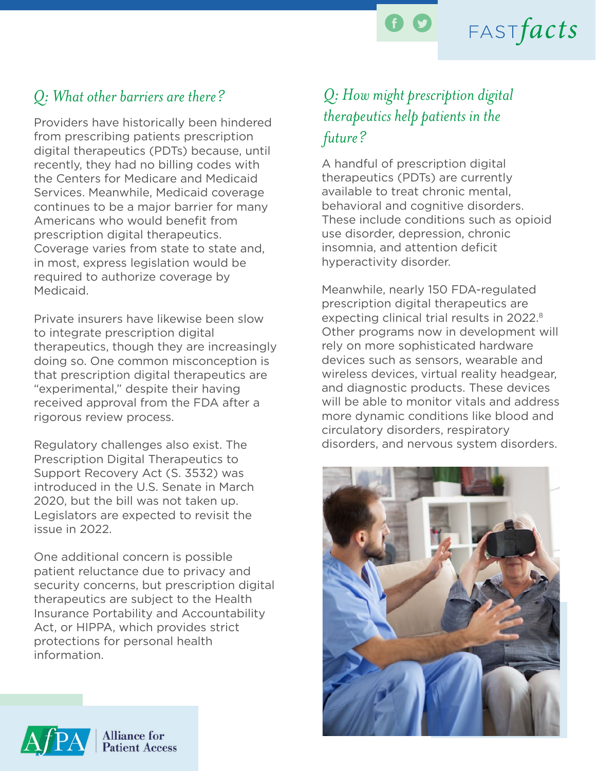

## $FASTfacts$

### *Q: What other barriers are there? Q: How might prescription digital*

Providers have historically been hindered from prescribing patients prescription digital therapeutics (PDTs) because, until recently, they had no billing codes with the Centers for Medicare and Medicaid Services. Meanwhile, Medicaid coverage continues to be a major barrier for many Americans who would benefit from prescription digital therapeutics. Coverage varies from state to state and, in most, express legislation would be required to authorize coverage by Medicaid.

Private insurers have likewise been slow to integrate prescription digital therapeutics, though they are increasingly doing so. One common misconception is that prescription digital therapeutics are "experimental," despite their having received approval from the FDA after a rigorous review process.

Regulatory challenges also exist. The Prescription Digital Therapeutics to Support Recovery Act (S. 3532) was introduced in the U.S. Senate in March 2020, but the bill was not taken up. Legislators are expected to revisit the issue in 2022.

One additional concern is possible patient reluctance due to privacy and security concerns, but prescription digital therapeutics are subject to the Health Insurance Portability and Accountability Act, or HIPPA, which provides strict protections for personal health information.

# *therapeutics help patients in the future?*

A handful of prescription digital therapeutics (PDTs) are currently available to treat chronic mental, behavioral and cognitive disorders. These include conditions such as opioid use disorder, depression, chronic insomnia, and attention deficit hyperactivity disorder.

Meanwhile, nearly 150 FDA-regulated prescription digital therapeutics are expecting clinical trial results in 2022.<sup>8</sup> Other programs now in development will rely on more sophisticated hardware devices such as sensors, wearable and wireless devices, virtual reality headgear, and diagnostic products. These devices will be able to monitor vitals and address more dynamic conditions like blood and circulatory disorders, respiratory disorders, and nervous system disorders.